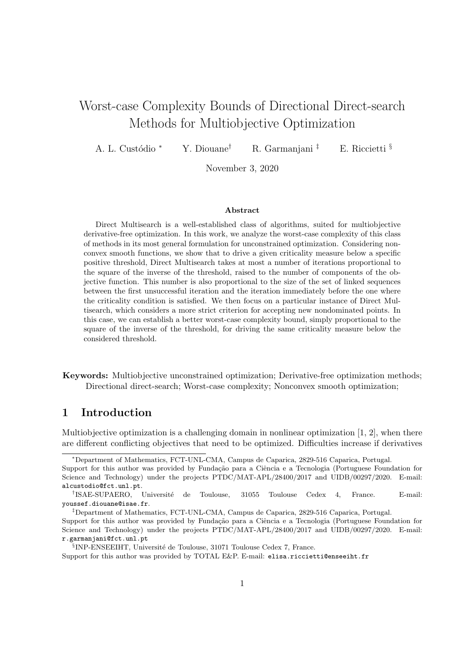# Worst-case Complexity Bounds of Directional Direct-search Methods for Multiobjective Optimization

A. L. Custódio <sup>∗</sup> Y. Diouane<sup>†</sup> R. Garmanjani <sup>‡</sup> E. Riccietti §

November 3, 2020

#### Abstract

Direct Multisearch is a well-established class of algorithms, suited for multiobjective derivative-free optimization. In this work, we analyze the worst-case complexity of this class of methods in its most general formulation for unconstrained optimization. Considering nonconvex smooth functions, we show that to drive a given criticality measure below a specific positive threshold, Direct Multisearch takes at most a number of iterations proportional to the square of the inverse of the threshold, raised to the number of components of the objective function. This number is also proportional to the size of the set of linked sequences between the first unsuccessful iteration and the iteration immediately before the one where the criticality condition is satisfied. We then focus on a particular instance of Direct Multisearch, which considers a more strict criterion for accepting new nondominated points. In this case, we can establish a better worst-case complexity bound, simply proportional to the square of the inverse of the threshold, for driving the same criticality measure below the considered threshold.

Keywords: Multiobjective unconstrained optimization; Derivative-free optimization methods; Directional direct-search; Worst-case complexity; Nonconvex smooth optimization;

## 1 Introduction

Multiobjective optimization is a challenging domain in nonlinear optimization [1, 2], when there are different conflicting objectives that need to be optimized. Difficulties increase if derivatives

<sup>∗</sup>Department of Mathematics, FCT-UNL-CMA, Campus de Caparica, 2829-516 Caparica, Portugal.

Support for this author was provided by Fundação para a Ciência e a Tecnologia (Portuguese Foundation for Science and Technology) under the projects PTDC/MAT-APL/28400/2017 and UIDB/00297/2020. E-mail: alcustodio@fct.unl.pt.

<sup>&</sup>lt;sup>†</sup>ISAE-SUPAERO, Université de Toulouse, 31055 Toulouse Cedex 4, France. E-mail: youssef.diouane@isae.fr.

<sup>‡</sup>Department of Mathematics, FCT-UNL-CMA, Campus de Caparica, 2829-516 Caparica, Portugal.

Support for this author was provided by Fundação para a Ciência e a Tecnologia (Portuguese Foundation for Science and Technology) under the projects PTDC/MAT-APL/28400/2017 and UIDB/00297/2020. E-mail: r.garmanjani@fct.unl.pt

<sup>&</sup>lt;sup>§</sup>INP-ENSEEIHT, Université de Toulouse, 31071 Toulouse Cedex 7, France.

Support for this author was provided by TOTAL E&P. E-mail: elisa.riccietti@enseeiht.fr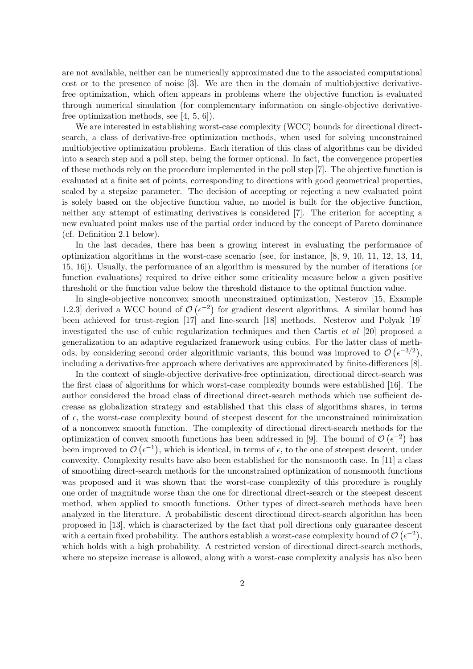are not available, neither can be numerically approximated due to the associated computational cost or to the presence of noise [3]. We are then in the domain of multiobjective derivativefree optimization, which often appears in problems where the objective function is evaluated through numerical simulation (for complementary information on single-objective derivativefree optimization methods, see [4, 5, 6]).

We are interested in establishing worst-case complexity (WCC) bounds for directional directsearch, a class of derivative-free optimization methods, when used for solving unconstrained multiobjective optimization problems. Each iteration of this class of algorithms can be divided into a search step and a poll step, being the former optional. In fact, the convergence properties of these methods rely on the procedure implemented in the poll step [7]. The objective function is evaluated at a finite set of points, corresponding to directions with good geometrical properties, scaled by a stepsize parameter. The decision of accepting or rejecting a new evaluated point is solely based on the objective function value, no model is built for the objective function, neither any attempt of estimating derivatives is considered [7]. The criterion for accepting a new evaluated point makes use of the partial order induced by the concept of Pareto dominance (cf. Definition 2.1 below).

In the last decades, there has been a growing interest in evaluating the performance of optimization algorithms in the worst-case scenario (see, for instance, [8, 9, 10, 11, 12, 13, 14, 15, 16]). Usually, the performance of an algorithm is measured by the number of iterations (or function evaluations) required to drive either some criticality measure below a given positive threshold or the function value below the threshold distance to the optimal function value.

In single-objective nonconvex smooth unconstrained optimization, Nesterov [15, Example 1.2.3 derived a WCC bound of  $\mathcal{O}(\epsilon^{-2})$  for gradient descent algorithms. A similar bound has been achieved for trust-region [17] and line-search [18] methods. Nesterov and Polyak [19] investigated the use of cubic regularization techniques and then Cartis et al [20] proposed a generalization to an adaptive regularized framework using cubics. For the latter class of methods, by considering second order algorithmic variants, this bound was improved to  $\mathcal{O}(\epsilon^{-3/2})$ , including a derivative-free approach where derivatives are approximated by finite-differences [8].

In the context of single-objective derivative-free optimization, directional direct-search was the first class of algorithms for which worst-case complexity bounds were established [16]. The author considered the broad class of directional direct-search methods which use sufficient decrease as globalization strategy and established that this class of algorithms shares, in terms of  $\epsilon$ , the worst-case complexity bound of steepest descent for the unconstrained minimization of a nonconvex smooth function. The complexity of directional direct-search methods for the optimization of convex smooth functions has been addressed in [9]. The bound of  $\mathcal{O}(\epsilon^{-2})$  has been improved to  $\mathcal{O}(\epsilon^{-1})$ , which is identical, in terms of  $\epsilon$ , to the one of steepest descent, under convexity. Complexity results have also been established for the nonsmooth case. In [11] a class of smoothing direct-search methods for the unconstrained optimization of nonsmooth functions was proposed and it was shown that the worst-case complexity of this procedure is roughly one order of magnitude worse than the one for directional direct-search or the steepest descent method, when applied to smooth functions. Other types of direct-search methods have been analyzed in the literature. A probabilistic descent directional direct-search algorithm has been proposed in [13], which is characterized by the fact that poll directions only guarantee descent with a certain fixed probability. The authors establish a worst-case complexity bound of  $\mathcal{O}(\epsilon^{-2})$ , which holds with a high probability. A restricted version of directional direct-search methods, where no stepsize increase is allowed, along with a worst-case complexity analysis has also been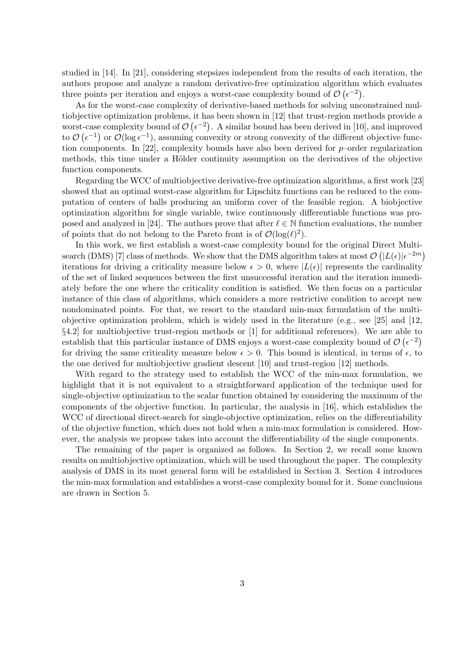studied in [14]. In [21], considering stepsizes independent from the results of each iteration, the authors propose and analyze a random derivative-free optimization algorithm which evaluates three points per iteration and enjoys a worst-case complexity bound of  $\mathcal{O}(\epsilon^{-2})$ .

As for the worst-case complexity of derivative-based methods for solving unconstrained multiobjective optimization problems, it has been shown in [12] that trust-region methods provide a worst-case complexity bound of  $\mathcal{O}(\epsilon^{-2})$ . A similar bound has been derived in [10], and improved to  $\mathcal{O}(\epsilon^{-1})$  or  $\mathcal{O}(\log \epsilon^{-1})$ , assuming convexity or strong convexity of the different objective function components. In [22], complexity bounds have also been derived for  $p$ -order regularization methods, this time under a Hölder continuity assumption on the derivatives of the objective function components.

Regarding the WCC of multiobjective derivative-free optimization algorithms, a first work [23] showed that an optimal worst-case algorithm for Lipschitz functions can be reduced to the computation of centers of balls producing an uniform cover of the feasible region. A biobjective optimization algorithm for single variable, twice continuously differentiable functions was proposed and analyzed in [24]. The authors prove that after  $\ell \in \mathbb{N}$  function evaluations, the number of points that do not belong to the Pareto front is of  $\mathcal{O}(\log(\ell)^2)$ .

In this work, we first establish a worst-case complexity bound for the original Direct Multisearch (DMS) [7] class of methods. We show that the DMS algorithm takes at most  $\mathcal{O}\left(|L(\epsilon)|\epsilon^{-2m}\right)$ iterations for driving a criticality measure below  $\epsilon > 0$ , where  $|L(\epsilon)|$  represents the cardinality of the set of linked sequences between the first unsuccessful iteration and the iteration immediately before the one where the criticality condition is satisfied. We then focus on a particular instance of this class of algorithms, which considers a more restrictive condition to accept new nondominated points. For that, we resort to the standard min-max formulation of the multiobjective optimization problem, which is widely used in the literature (e.g., see [25] and [12, §4.2] for multiobjective trust-region methods or [1] for additional references). We are able to establish that this particular instance of DMS enjoys a worst-case complexity bound of  $\mathcal{O}(\epsilon^{-2})$ for driving the same criticality measure below  $\epsilon > 0$ . This bound is identical, in terms of  $\epsilon$ , to the one derived for multiobjective gradient descent [10] and trust-region [12] methods.

With regard to the strategy used to establish the WCC of the min-max formulation, we highlight that it is not equivalent to a straightforward application of the technique used for single-objective optimization to the scalar function obtained by considering the maximum of the components of the objective function. In particular, the analysis in [16], which establishes the WCC of directional direct-search for single-objective optimization, relies on the differentiability of the objective function, which does not hold when a min-max formulation is considered. However, the analysis we propose takes into account the differentiability of the single components.

The remaining of the paper is organized as follows. In Section 2, we recall some known results on multiobjective optimization, which will be used throughout the paper. The complexity analysis of DMS in its most general form will be established in Section 3. Section 4 introduces the min-max formulation and establishes a worst-case complexity bound for it. Some conclusions are drawn in Section 5.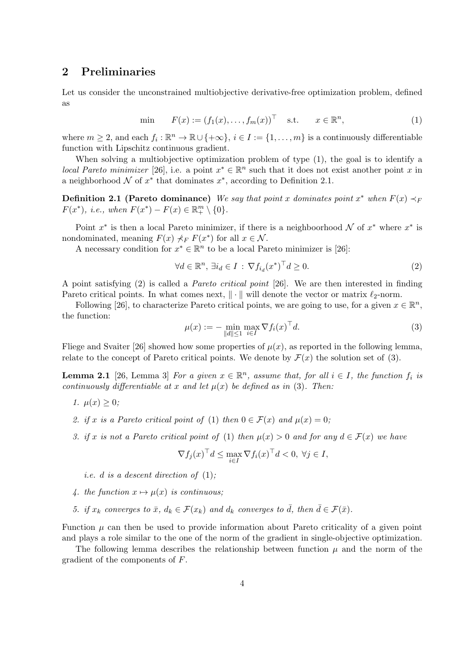## 2 Preliminaries

Let us consider the unconstrained multiobjective derivative-free optimization problem, defined as

$$
\text{min} \qquad F(x) := (f_1(x), \dots, f_m(x))^\top \quad \text{s.t.} \qquad x \in \mathbb{R}^n,\tag{1}
$$

where  $m \geq 2$ , and each  $f_i : \mathbb{R}^n \to \mathbb{R} \cup \{+\infty\}, i \in I := \{1, \ldots, m\}$  is a continuously differentiable function with Lipschitz continuous gradient.

When solving a multiobjective optimization problem of type (1), the goal is to identify a local Pareto minimizer [26], i.e. a point  $x^* \in \mathbb{R}^n$  such that it does not exist another point x in a neighborhood  $\mathcal N$  of  $x^*$  that dominates  $x^*$ , according to Definition 2.1.

**Definition 2.1 (Pareto dominance)** We say that point x dominates point  $x^*$  when  $F(x) \prec_F$  $F(x^*),$  i.e., when  $F(x^*) - F(x) \in \mathbb{R}^m_+ \setminus \{0\}.$ 

Point  $x^*$  is then a local Pareto minimizer, if there is a neighboorhood  $\mathcal N$  of  $x^*$  where  $x^*$  is nondominated, meaning  $F(x) \nless_F F(x^*)$  for all  $x \in \mathcal{N}$ .

A necessary condition for  $x^* \in \mathbb{R}^n$  to be a local Pareto minimizer is [26]:

$$
\forall d \in \mathbb{R}^n, \ \exists i_d \in I \, : \, \nabla f_{i_d}(x^*)^\top d \ge 0. \tag{2}
$$

A point satisfying (2) is called a Pareto critical point [26]. We are then interested in finding Pareto critical points. In what comes next,  $\|\cdot\|$  will denote the vector or matrix  $\ell_2$ -norm.

Following [26], to characterize Pareto critical points, we are going to use, for a given  $x \in \mathbb{R}^n$ , the function:

$$
\mu(x) := -\min_{\|d\| \le 1} \max_{i \in I} \nabla f_i(x)^\top d. \tag{3}
$$

Fliege and Svaiter [26] showed how some properties of  $\mu(x)$ , as reported in the following lemma, relate to the concept of Pareto critical points. We denote by  $\mathcal{F}(x)$  the solution set of (3).

**Lemma 2.1** [26, Lemma 3] For a given  $x \in \mathbb{R}^n$ , assume that, for all  $i \in I$ , the function  $f_i$  is continuously differentiable at x and let  $\mu(x)$  be defined as in (3). Then:

- 1.  $\mu(x) > 0$ ;
- 2. if x is a Pareto critical point of (1) then  $0 \in \mathcal{F}(x)$  and  $\mu(x) = 0$ ;
- 3. if x is not a Pareto critical point of (1) then  $\mu(x) > 0$  and for any  $d \in \mathcal{F}(x)$  we have

$$
\nabla f_j(x)^\top d \le \max_{i \in I} \nabla f_i(x)^\top d < 0, \ \forall j \in I,
$$

i.e. d is a descent direction of (1);

- 4. the function  $x \mapsto \mu(x)$  is continuous;
- 5. if  $x_k$  converges to  $\bar{x}$ ,  $d_k \in \mathcal{F}(x_k)$  and  $d_k$  converges to  $\bar{d}$ , then  $\bar{d} \in \mathcal{F}(\bar{x})$ .

Function  $\mu$  can then be used to provide information about Pareto criticality of a given point and plays a role similar to the one of the norm of the gradient in single-objective optimization.

The following lemma describes the relationship between function  $\mu$  and the norm of the gradient of the components of F.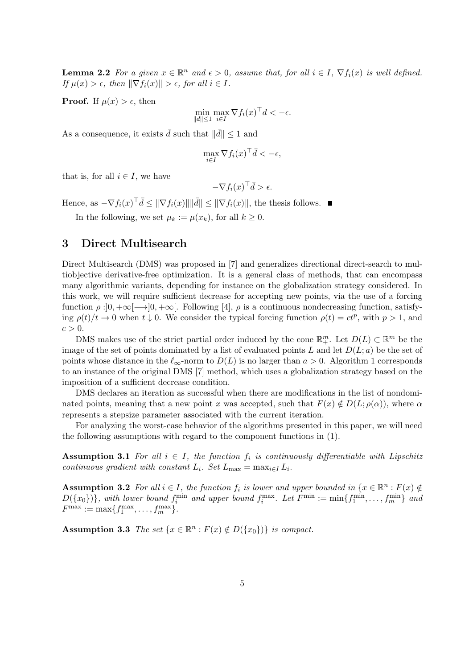**Lemma 2.2** For a given  $x \in \mathbb{R}^n$  and  $\epsilon > 0$ , assume that, for all  $i \in I$ ,  $\nabla f_i(x)$  is well defined. If  $\mu(x) > \epsilon$ , then  $\|\nabla f_i(x)\| > \epsilon$ , for all  $i \in I$ .

**Proof.** If  $\mu(x) > \epsilon$ , then

$$
\min_{\|d\| \le 1} \max_{i \in I} \nabla f_i(x)^\top d < -\epsilon.
$$

As a consequence, it exists  $\bar{d}$  such that  $\|\bar{d}\| \leq 1$  and

$$
\max_{i \in I} \nabla f_i(x)^\top \bar{d} < -\epsilon,
$$

that is, for all  $i \in I$ , we have

$$
-\nabla f_i(x)^\top \bar{d} > \epsilon.
$$

Hence, as  $-\nabla f_i(x)^\top \bar{d} \leq ||\nabla f_i(x)|| ||\bar{d}|| \leq ||\nabla f_i(x)||$ , the thesis follows.

In the following, we set  $\mu_k := \mu(x_k)$ , for all  $k \geq 0$ .

## 3 Direct Multisearch

Direct Multisearch (DMS) was proposed in [7] and generalizes directional direct-search to multiobjective derivative-free optimization. It is a general class of methods, that can encompass many algorithmic variants, depending for instance on the globalization strategy considered. In this work, we will require sufficient decrease for accepting new points, via the use of a forcing function  $\rho : ]0, +\infty[$   $\rightarrow ]0, +\infty[$ . Following [4],  $\rho$  is a continuous nondecreasing function, satisfying  $\rho(t)/t \to 0$  when  $t \downarrow 0$ . We consider the typical forcing function  $\rho(t) = ct^p$ , with  $p > 1$ , and  $c > 0$ .

DMS makes use of the strict partial order induced by the cone  $\mathbb{R}^m_+$ . Let  $D(L) \subset \mathbb{R}^m$  be the image of the set of points dominated by a list of evaluated points L and let  $D(L; a)$  be the set of points whose distance in the  $\ell_{\infty}$ -norm to  $D(L)$  is no larger than  $a > 0$ . Algorithm 1 corresponds to an instance of the original DMS [7] method, which uses a globalization strategy based on the imposition of a sufficient decrease condition.

DMS declares an iteration as successful when there are modifications in the list of nondominated points, meaning that a new point x was accepted, such that  $F(x) \notin D(L; \rho(\alpha))$ , where  $\alpha$ represents a stepsize parameter associated with the current iteration.

For analyzing the worst-case behavior of the algorithms presented in this paper, we will need the following assumptions with regard to the component functions in (1).

**Assumption 3.1** For all  $i \in I$ , the function  $f_i$  is continuously differentiable with Lipschitz continuous gradient with constant  $L_i$ . Set  $L_{\text{max}} = \max_{i \in I} L_i$ .

**Assumption 3.2** For all  $i \in I$ , the function  $f_i$  is lower and upper bounded in  $\{x \in \mathbb{R}^n : F(x) \notin I\}$  $D({x_0})$ , with lower bound  $f_i^{\min}$  and upper bound  $f_i^{\max}$ . Let  $F^{\min} := \min\{f_1^{\min}, \ldots, f_m^{\min}\}\$ and  $F^{\max} := \max\{f_1^{\max}, \ldots, f_m^{\max}\}.$ 

**Assumption 3.3** The set  $\{x \in \mathbb{R}^n : F(x) \notin D(\lbrace x_0 \rbrace) \}$  is compact.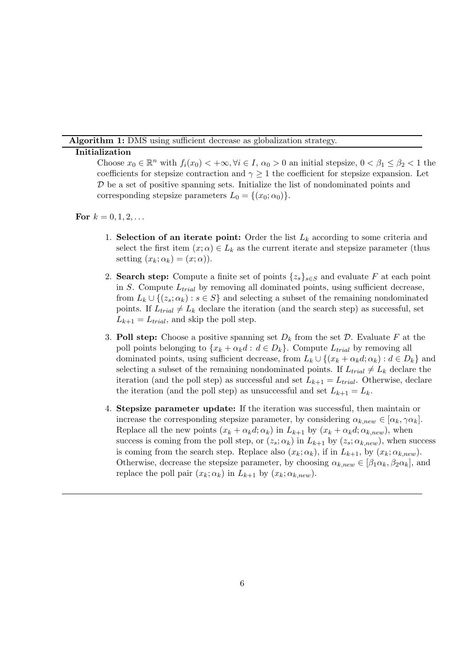Algorithm 1: DMS using sufficient decrease as globalization strategy.

#### Initialization

Choose  $x_0 \in \mathbb{R}^n$  with  $f_i(x_0) < +\infty, \forall i \in I, \alpha_0 > 0$  an initial stepsize,  $0 < \beta_1 \leq \beta_2 < 1$  the coefficients for stepsize contraction and  $\gamma \geq 1$  the coefficient for stepsize expansion. Let D be a set of positive spanning sets. Initialize the list of nondominated points and corresponding stepsize parameters  $L_0 = \{(x_0; \alpha_0)\}.$ 

For  $k = 0, 1, 2, ...$ 

- 1. Selection of an iterate point: Order the list  $L_k$  according to some criteria and select the first item  $(x; \alpha) \in L_k$  as the current iterate and stepsize parameter (thus setting  $(x_k; \alpha_k) = (x; \alpha)$ .
- 2. Search step: Compute a finite set of points  $\{z_s\}_{s\in S}$  and evaluate F at each point in S. Compute  $L_{trial}$  by removing all dominated points, using sufficient decrease, from  $L_k \cup \{ (z_s; \alpha_k) : s \in S \}$  and selecting a subset of the remaining nondominated points. If  $L_{trial} \neq L_k$  declare the iteration (and the search step) as successful, set  $L_{k+1} = L_{trial}$ , and skip the poll step.
- 3. Poll step: Choose a positive spanning set  $D_k$  from the set  $\mathcal D$ . Evaluate F at the poll points belonging to  $\{x_k + \alpha_k d : d \in D_k\}$ . Compute  $L_{trial}$  by removing all dominated points, using sufficient decrease, from  $L_k \cup \{(x_k + \alpha_k d; \alpha_k) : d \in D_k\}$  and selecting a subset of the remaining nondominated points. If  $L_{trial} \neq L_k$  declare the iteration (and the poll step) as successful and set  $L_{k+1} = L_{trial}$ . Otherwise, declare the iteration (and the poll step) as unsuccessful and set  $L_{k+1} = L_k$ .
- 4. Stepsize parameter update: If the iteration was successful, then maintain or increase the corresponding stepsize parameter, by considering  $\alpha_{k,new} \in [\alpha_k, \gamma \alpha_k].$ Replace all the new points  $(x_k + \alpha_k d; \alpha_k)$  in  $L_{k+1}$  by  $(x_k + \alpha_k d; \alpha_{k,new})$ , when success is coming from the poll step, or  $(z_s; \alpha_k)$  in  $L_{k+1}$  by  $(z_s; \alpha_{k,new})$ , when success is coming from the search step. Replace also  $(x_k; \alpha_k)$ , if in  $L_{k+1}$ , by  $(x_k; \alpha_{knew})$ . Otherwise, decrease the stepsize parameter, by choosing  $\alpha_{k,new} \in [\beta_1 \alpha_k, \beta_2 \alpha_k]$ , and replace the poll pair  $(x_k; \alpha_k)$  in  $L_{k+1}$  by  $(x_k; \alpha_{knew})$ .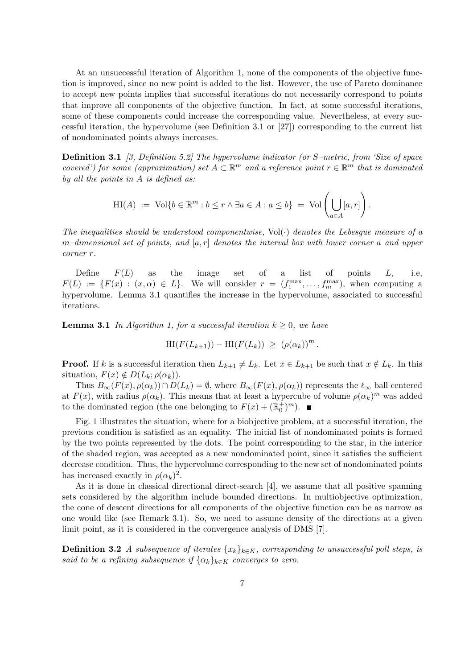At an unsuccessful iteration of Algorithm 1, none of the components of the objective function is improved, since no new point is added to the list. However, the use of Pareto dominance to accept new points implies that successful iterations do not necessarily correspond to points that improve all components of the objective function. In fact, at some successful iterations, some of these components could increase the corresponding value. Nevertheless, at every successful iteration, the hypervolume (see Definition 3.1 or [27]) corresponding to the current list of nondominated points always increases.

Definition 3.1 [3, Definition 5.2] The hypervolume indicator (or S–metric, from 'Size of space covered') for some (approximation) set  $A \subset \mathbb{R}^m$  and a reference point  $r \in \mathbb{R}^m$  that is dominated by all the points in A is defined as:

$$
\mathrm{HI}(A) := \mathrm{Vol}\{b \in \mathbb{R}^m : b \le r \wedge \exists a \in A : a \le b\} = \mathrm{Vol}\left(\bigcup_{a \in A} [a, r]\right).
$$

The inequalities should be understood componentwise,  $Vol(\cdot)$  denotes the Lebesque measure of a m-dimensional set of points, and  $[a, r]$  denotes the interval box with lower corner a and upper corner r.

Define  $F(L)$  as the image set of a list of points  $L$ , i.e,  $F(L) := \{F(x) : (x, \alpha) \in L\}.$  We will consider  $r = (f_1^{\max}, \ldots, f_m^{\max})$ , when computing a hypervolume. Lemma 3.1 quantifies the increase in the hypervolume, associated to successful iterations.

**Lemma 3.1** In Algorithm 1, for a successful iteration  $k \geq 0$ , we have

$$
\mathrm{HI}(F(L_{k+1})) - \mathrm{HI}(F(L_k)) \ge (\rho(\alpha_k))^m.
$$

**Proof.** If k is a successful iteration then  $L_{k+1} \neq L_k$ . Let  $x \in L_{k+1}$  be such that  $x \notin L_k$ . In this situation,  $F(x) \notin D(L_k; \rho(\alpha_k)).$ 

Thus  $B_{\infty}(F(x), \rho(\alpha_k)) \cap D(L_k) = \emptyset$ , where  $B_{\infty}(F(x), \rho(\alpha_k))$  represents the  $\ell_{\infty}$  ball centered at  $F(x)$ , with radius  $\rho(\alpha_k)$ . This means that at least a hypercube of volume  $\rho(\alpha_k)^m$  was added to the dominated region (the one belonging to  $F(x) + (\mathbb{R}_0^+)^m$ ).

Fig. 1 illustrates the situation, where for a biobjective problem, at a successful iteration, the previous condition is satisfied as an equality. The initial list of nondominated points is formed by the two points represented by the dots. The point corresponding to the star, in the interior of the shaded region, was accepted as a new nondominated point, since it satisfies the sufficient decrease condition. Thus, the hypervolume corresponding to the new set of nondominated points has increased exactly in  $\rho(\alpha_k)^2$ .

As it is done in classical directional direct-search [4], we assume that all positive spanning sets considered by the algorithm include bounded directions. In multiobjective optimization, the cone of descent directions for all components of the objective function can be as narrow as one would like (see Remark 3.1). So, we need to assume density of the directions at a given limit point, as it is considered in the convergence analysis of DMS [7].

**Definition 3.2** A subsequence of iterates  $\{x_k\}_{k\in K}$ , corresponding to unsuccessful poll steps, is said to be a refining subsequence if  $\{\alpha_k\}_{k\in K}$  converges to zero.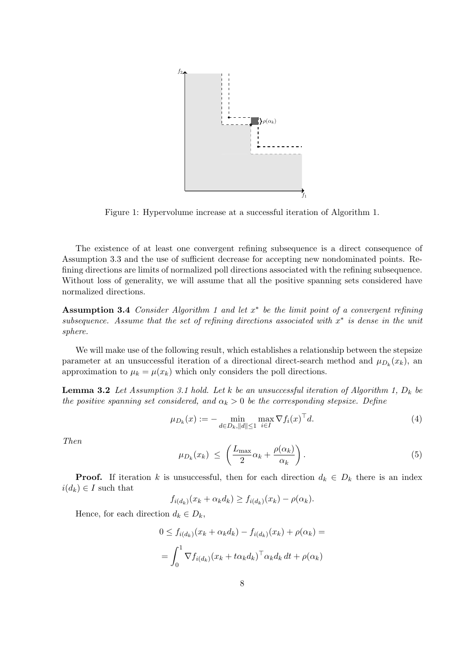

Figure 1: Hypervolume increase at a successful iteration of Algorithm 1.

The existence of at least one convergent refining subsequence is a direct consequence of Assumption 3.3 and the use of sufficient decrease for accepting new nondominated points. Refining directions are limits of normalized poll directions associated with the refining subsequence. Without loss of generality, we will assume that all the positive spanning sets considered have normalized directions.

Assumption 3.4 Consider Algorithm 1 and let  $x^*$  be the limit point of a convergent refining subsequence. Assume that the set of refining directions associated with  $x^*$  is dense in the unit sphere.

We will make use of the following result, which establishes a relationship between the stepsize parameter at an unsuccessful iteration of a directional direct-search method and  $\mu_{D_k}(x_k)$ , and approximation to  $\mu_k = \mu(x_k)$  which only considers the poll directions.

**Lemma 3.2** Let Assumption 3.1 hold. Let k be an unsuccessful iteration of Algorithm 1,  $D_k$  be the positive spanning set considered, and  $\alpha_k > 0$  be the corresponding stepsize. Define

$$
\mu_{D_k}(x) := - \min_{d \in D_k, ||d|| \le 1} \max_{i \in I} \nabla f_i(x)^\top d. \tag{4}
$$

Then

$$
\mu_{D_k}(x_k) \ \leq \ \left(\frac{L_{\max}}{2}\alpha_k + \frac{\rho(\alpha_k)}{\alpha_k}\right). \tag{5}
$$

**Proof.** If iteration k is unsuccessful, then for each direction  $d_k \in D_k$  there is an index  $i(d_k) \in I$  such that

$$
f_{i(d_k)}(x_k + \alpha_k d_k) \ge f_{i(d_k)}(x_k) - \rho(\alpha_k).
$$

Hence, for each direction  $d_k \in D_k$ ,

$$
0 \le f_{i(d_k)}(x_k + \alpha_k d_k) - f_{i(d_k)}(x_k) + \rho(\alpha_k) =
$$
  
= 
$$
\int_0^1 \nabla f_{i(d_k)}(x_k + t \alpha_k d_k)^\top \alpha_k d_k dt + \rho(\alpha_k)
$$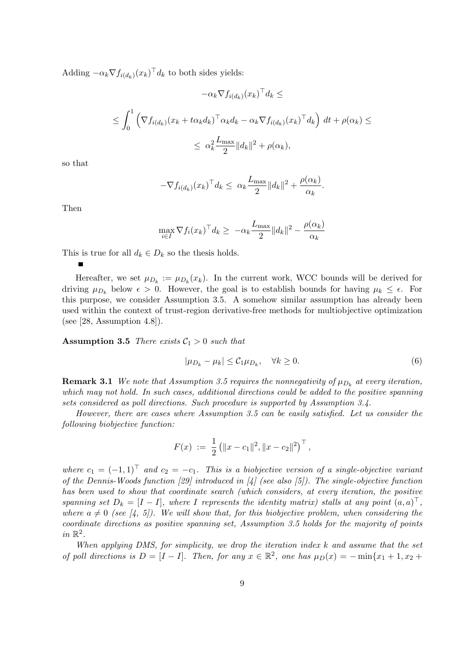Adding  $-\alpha_k \nabla f_{i(d_k)}(x_k)^\top d_k$  to both sides yields:

$$
-\alpha_k \nabla f_{i(d_k)}(x_k)^\top d_k \le
$$
  

$$
\leq \int_0^1 \left( \nabla f_{i(d_k)}(x_k + t \alpha_k d_k)^\top \alpha_k d_k - \alpha_k \nabla f_{i(d_k)}(x_k)^\top d_k \right) dt + \rho(\alpha_k) \le
$$
  

$$
\leq \alpha_k^2 \frac{L_{\max}}{2} ||d_k||^2 + \rho(\alpha_k),
$$

so that

$$
-\nabla f_{i(d_k)}(x_k)^\top d_k \leq \alpha_k \frac{L_{\max}}{2} \|d_k\|^2 + \frac{\rho(\alpha_k)}{\alpha_k}.
$$

Then

$$
\max_{i \in I} \nabla f_i(x_k)^\top d_k \ge -\alpha_k \frac{L_{\max}}{2} \|d_k\|^2 - \frac{\rho(\alpha_k)}{\alpha_k}
$$

This is true for all  $d_k \in D_k$  so the thesis holds.

Hereafter, we set  $\mu_{D_k} := \mu_{D_k}(x_k)$ . In the current work, WCC bounds will be derived for driving  $\mu_{D_k}$  below  $\epsilon > 0$ . However, the goal is to establish bounds for having  $\mu_k \leq \epsilon$ . For this purpose, we consider Assumption 3.5. A somehow similar assumption has already been used within the context of trust-region derivative-free methods for multiobjective optimization (see [28, Assumption 4.8]).

**Assumption 3.5** There exists  $C_1 > 0$  such that

$$
|\mu_{D_k} - \mu_k| \leq C_1 \mu_{D_k}, \quad \forall k \geq 0. \tag{6}
$$

**Remark 3.1** We note that Assumption 3.5 requires the nonnegativity of  $\mu_{D_k}$  at every iteration, which may not hold. In such cases, additional directions could be added to the positive spanning sets considered as poll directions. Such procedure is supported by Assumption 3.4.

However, there are cases where Assumption 3.5 can be easily satisfied. Let us consider the following biobjective function:

$$
F(x) := \frac{1}{2} (||x - c_1||^2, ||x - c_2||^2)^\top,
$$

where  $c_1 = (-1, 1)^T$  and  $c_2 = -c_1$ . This is a biobjective version of a single-objective variant of the Dennis-Woods function [29] introduced in [4] (see also [5]). The single-objective function has been used to show that coordinate search (which considers, at every iteration, the positive spanning set  $D_k = [I - I]$ , where I represents the identity matrix) stalls at any point  $(a, a)^\top$ , where  $a \neq 0$  (see [4, 5]). We will show that, for this biobjective problem, when considering the coordinate directions as positive spanning set, Assumption 3.5 holds for the majority of points  $in \mathbb{R}^2$ .

When applying DMS, for simplicity, we drop the iteration index k and assume that the set of poll directions is  $D = [I - I]$ . Then, for any  $x \in \mathbb{R}^2$ , one has  $\mu_D(x) = -\min\{x_1 + 1, x_2 +$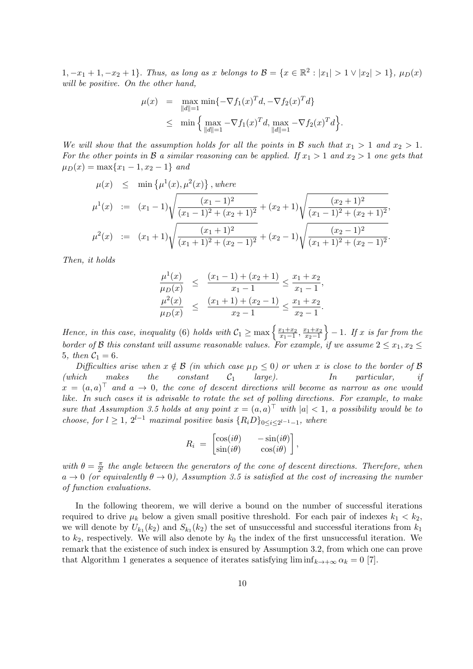1,  $-x_1 + 1, -x_2 + 1$ . Thus, as long as x belongs to  $\mathcal{B} = \{x \in \mathbb{R}^2 : |x_1| > 1 \vee |x_2| > 1\}$ ,  $\mu_D(x)$ will be positive. On the other hand,

$$
\mu(x) = \max_{\|d\|=1} \min \{-\nabla f_1(x)^T d, -\nabla f_2(x)^T d\}
$$
  
 
$$
\leq \min \left\{\max_{\|d\|=1} -\nabla f_1(x)^T d, \max_{\|d\|=1} -\nabla f_2(x)^T d\right\}.
$$

We will show that the assumption holds for all the points in B such that  $x_1 > 1$  and  $x_2 > 1$ . For the other points in B a similar reasoning can be applied. If  $x_1 > 1$  and  $x_2 > 1$  one gets that  $\mu_D(x) = \max\{x_1 - 1, x_2 - 1\}$  and

$$
\mu(x) \leq \min \left\{ \mu^{1}(x), \mu^{2}(x) \right\}, \text{ where}
$$
\n
$$
\mu^{1}(x) := (x_{1} - 1) \sqrt{\frac{(x_{1} - 1)^{2}}{(x_{1} - 1)^{2} + (x_{2} + 1)^{2}}} + (x_{2} + 1) \sqrt{\frac{(x_{2} + 1)^{2}}{(x_{1} - 1)^{2} + (x_{2} + 1)^{2}}},
$$
\n
$$
\mu^{2}(x) := (x_{1} + 1) \sqrt{\frac{(x_{1} + 1)^{2}}{(x_{1} + 1)^{2} + (x_{2} - 1)^{2}}} + (x_{2} - 1) \sqrt{\frac{(x_{2} - 1)^{2}}{(x_{1} + 1)^{2} + (x_{2} - 1)^{2}}}.
$$

Then, it holds

$$
\frac{\mu^1(x)}{\mu_D(x)} \le \frac{(x_1 - 1) + (x_2 + 1)}{x_1 - 1} \le \frac{x_1 + x_2}{x_1 - 1},
$$
  

$$
\frac{\mu^2(x)}{\mu_D(x)} \le \frac{(x_1 + 1) + (x_2 - 1)}{x_2 - 1} \le \frac{x_1 + x_2}{x_2 - 1}.
$$

Hence, in this case, inequality (6) holds with  $\mathcal{C}_1 \ge \max \left\{ \frac{x_1+x_2}{x_1-1} \right\}$  $\frac{x_1+x_2}{x_1-1}, \frac{x_1+x_2}{x_2-1}$  $x_2-1$  $\} - 1$ . If x is far from the border of B this constant will assume reasonable values. For example, if we assume  $2 \le x_1, x_2 \le$ 5, then  $C_1 = 6$ .

Difficulties arise when  $x \notin \mathcal{B}$  (in which case  $\mu_D \leq 0$ ) or when x is close to the border of  $\mathcal{B}$ (which makes the constant  $C_1$  large). In particular, if  $x = (a, a)^{\top}$  and  $a \to 0$ , the cone of descent directions will become as narrow as one would like. In such cases it is advisable to rotate the set of polling directions. For example, to make sure that Assumption 3.5 holds at any point  $x = (a, a)^{\top}$  with  $|a| < 1$ , a possibility would be to choose, for  $l \geq 1$ ,  $2^{l-1}$  maximal positive basis  $\{R_i D\}_{0 \leq i \leq 2^{l-1}-1}$ , where

$$
R_i = \begin{bmatrix} \cos(i\theta) & -\sin(i\theta) \\ \sin(i\theta) & \cos(i\theta) \end{bmatrix},
$$

with  $\theta = \frac{\pi}{2l}$  $\frac{\pi}{2^l}$  the angle between the generators of the cone of descent directions. Therefore, when  $a \to 0$  (or equivalently  $\theta \to 0$ ), Assumption 3.5 is satisfied at the cost of increasing the number of function evaluations.

In the following theorem, we will derive a bound on the number of successful iterations required to drive  $\mu_k$  below a given small positive threshold. For each pair of indexes  $k_1 < k_2$ , we will denote by  $U_{k_1}(k_2)$  and  $S_{k_1}(k_2)$  the set of unsuccessful and successful iterations from  $k_1$ to  $k_2$ , respectively. We will also denote by  $k_0$  the index of the first unsuccessful iteration. We remark that the existence of such index is ensured by Assumption 3.2, from which one can prove that Algorithm 1 generates a sequence of iterates satisfying  $\liminf_{k\to+\infty} \alpha_k = 0$  [7].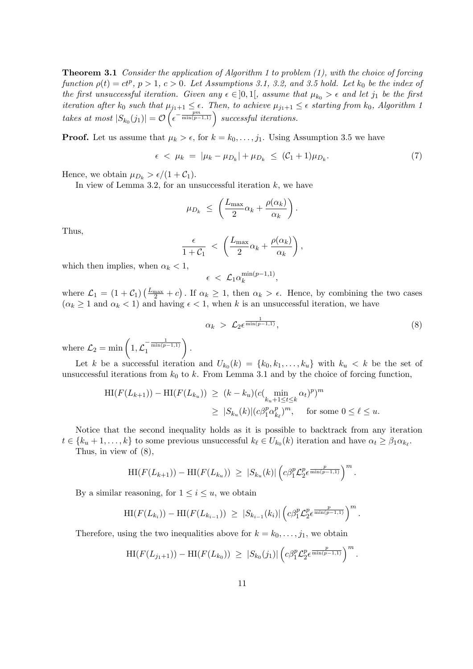**Theorem 3.1** Consider the application of Algorithm 1 to problem  $(1)$ , with the choice of forcing function  $\rho(t) = ct^p$ ,  $p > 1$ ,  $c > 0$ . Let Assumptions 3.1, 3.2, and 3.5 hold. Let  $k_0$  be the index of the first unsuccessful iteration. Given any  $\epsilon \in ]0,1[$ , assume that  $\mu_{k_0} > \epsilon$  and let  $j_1$  be the first iteration after  $k_0$  such that  $\mu_{j_1+1} \leq \epsilon$ . Then, to achieve  $\mu_{j_1+1} \leq \epsilon$  starting from  $k_0$ , Algorithm 1 takes at most  $|S_{k_0}(j_1)| = \mathcal{O}\left(\epsilon^{-\frac{pm}{\min(p-1,1)}}\right)$  successful iterations.

**Proof.** Let us assume that  $\mu_k > \epsilon$ , for  $k = k_0, \ldots, j_1$ . Using Assumption 3.5 we have

$$
\epsilon \, < \, \mu_k \, = \, |\mu_k - \mu_{D_k}| + \mu_{D_k} \, \leq \, (\mathcal{C}_1 + 1)\mu_{D_k}.\tag{7}
$$

Hence, we obtain  $\mu_{D_k} > \epsilon/(1 + C_1)$ .

In view of Lemma 3.2, for an unsuccessful iteration  $k$ , we have

$$
\mu_{D_k} \ \leq \ \left( \frac{L_{\max}}{2} \alpha_k + \frac{\rho(\alpha_k)}{\alpha_k} \right).
$$

Thus,

$$
\frac{\epsilon}{1+\mathcal{C}_1} < \left(\frac{L_{\max}}{2}\alpha_k + \frac{\rho(\alpha_k)}{\alpha_k}\right),
$$

which then implies, when  $\alpha_k < 1$ ,

$$
\epsilon \ < \mathcal{L}_1 \alpha_k^{\min(p-1,1)},
$$

where  $\mathcal{L}_1 = (1 + \mathcal{C}_1)(\frac{L_{\text{max}}}{2} + c)$ . If  $\alpha_k \geq 1$ , then  $\alpha_k > \epsilon$ . Hence, by combining the two cases  $(\alpha_k \geq 1 \text{ and } \alpha_k < 1)$  and having  $\epsilon < 1$ , when k is an unsuccessful iteration, we have

$$
\alpha_k > \mathcal{L}_2 \epsilon^{\frac{1}{\min(p-1,1)}}, \tag{8}
$$

where  $\mathcal{L}_2 = \min\left(1, \mathcal{L}_1^{-\frac{1}{\min(p-1,1)}}\right)$  $\big)$  .

Let k be a successful iteration and  $U_{k_0}(k) = \{k_0, k_1, \ldots, k_u\}$  with  $k_u < k$  be the set of unsuccessful iterations from  $k_0$  to k. From Lemma 3.1 and by the choice of forcing function,

$$
\begin{aligned} \mathrm{HI}(F(L_{k+1})) - \mathrm{HI}(F(L_{k_u})) &\geq (k - k_u)(c(\min_{k_u+1 \leq t \leq k} \alpha_t)^p)^m \\ &\geq |S_{k_u}(k)| (c\beta_1^p \alpha_{k_\ell}^p)^m, \quad \text{for some } 0 \leq \ell \leq u. \end{aligned}
$$

Notice that the second inequality holds as it is possible to backtrack from any iteration  $t \in \{k_u+1,\ldots,k\}$  to some previous unsuccessful  $k_{\ell} \in U_{k_0}(k)$  iteration and have  $\alpha_t \geq \beta_1 \alpha_{k_{\ell}}$ .

Thus, in view of (8),

$$
\mathrm{HI}(F(L_{k+1})) - \mathrm{HI}(F(L_{k_u})) \geq |S_{k_u}(k)| \left( c\beta_1^p \mathcal{L}_2^p \epsilon^{\frac{p}{\min(p-1,1)}} \right)^m.
$$

By a similar reasoning, for  $1 \leq i \leq u$ , we obtain

$$
\text{HI}(F(L_{k_i})) - \text{HI}(F(L_{k_{i-1}})) \geq |S_{k_{i-1}}(k_i)| \left(c\beta_1^p \mathcal{L}_2^p \epsilon^{\frac{p}{\min(p-1,1)}}\right)^m.
$$

Therefore, using the two inequalities above for  $k = k_0, \ldots, j_1$ , we obtain

$$
\mathrm{HI}(F(L_{j_1+1})) - \mathrm{HI}(F(L_{k_0})) \geq |S_{k_0}(j_1)| \left( c\beta_1^p \mathcal{L}_2^p \epsilon^{\frac{p}{\min(p-1,1)}} \right)^m.
$$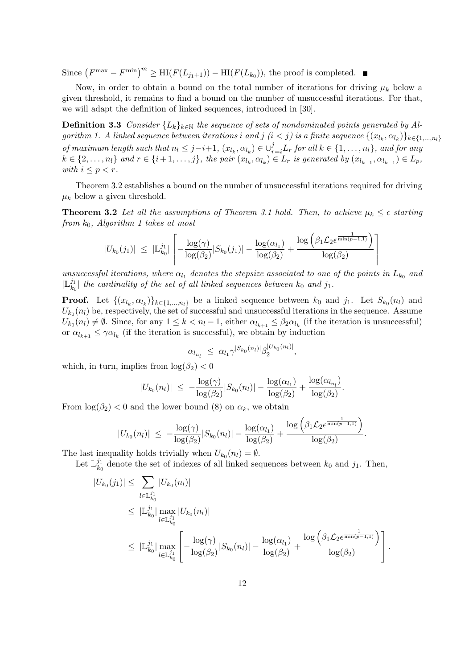Since  $(F^{\max} - F^{\min})^m \geq \mathrm{HI}(F(L_{j_1+1})) - \mathrm{HI}(F(L_{k_0}))$ , the proof is completed.

Now, in order to obtain a bound on the total number of iterations for driving  $\mu_k$  below a given threshold, it remains to find a bound on the number of unsuccessful iterations. For that, we will adapt the definition of linked sequences, introduced in [30].

**Definition 3.3** Consider  $\{L_k\}_{k\in\mathbb{N}}$  the sequence of sets of nondominated points generated by Algorithm 1. A linked sequence between iterations  $i$  and  $j$   $(i < j)$  is a finite sequence  $\{(x_{l_k}, \alpha_{l_k})\}_{k \in \{1,...,n_l\}}$ of maximum length such that  $n_l \leq j-i+1$ ,  $(x_{l_k}, \alpha_{l_k}) \in \bigcup_{r=i}^{j} L_r$  for all  $k \in \{1, ..., n_l\}$ , and for any  $k \in \{2, \ldots, n_l\}$  and  $r \in \{i+1, \ldots, j\}$ , the pair  $(x_{l_k}, \alpha_{l_k}) \in L_r$  is generated by  $(x_{l_{k-1}}, \alpha_{l_{k-1}}) \in L_p$ , with  $i \leq p \leq r$ .

Theorem 3.2 establishes a bound on the number of unsuccessful iterations required for driving  $\mu_k$  below a given threshold.

**Theorem 3.2** Let all the assumptions of Theorem 3.1 hold. Then, to achieve  $\mu_k \leq \epsilon$  starting from  $k_0$ , Algorithm 1 takes at most

$$
|U_{k_0}(j_1)| \leq |\mathbb{L}_{k_0}^{j_1}| \left[ -\frac{\log(\gamma)}{\log(\beta_2)} |S_{k_0}(j_1)| - \frac{\log(\alpha_{l_1})}{\log(\beta_2)} + \frac{\log\left(\beta_1 \mathcal{L}_2 e^{\frac{1}{\min(p-1,1)}}\right)}{\log(\beta_2)} \right]
$$

unsuccessful iterations, where  $\alpha_{l_1}$  denotes the stepsize associated to one of the points in  $L_{k_0}$  and  $|\mathbb{L}_k^{j_1}$  $\left| \begin{array}{c} \mu_{k0} \ h_{k0} \end{array} \right|$  the cardinality of the set of all linked sequences between  $k_0$  and  $j_1.$ 

**Proof.** Let  $\{(x_{l_k}, \alpha_{l_k})\}_{k \in \{1,\dots,n_l\}}$  be a linked sequence between  $k_0$  and  $j_1$ . Let  $S_{k_0}(n_l)$  and  $U_{k_0}(n_l)$  be, respectively, the set of successful and unsuccessful iterations in the sequence. Assume  $U_{k_0}(n_l) \neq \emptyset$ . Since, for any  $1 \leq k < n_l - 1$ , either  $\alpha_{l_{k+1}} \leq \beta_2 \alpha_{l_k}$  (if the iteration is unsuccessful) or  $\alpha_{l_{k+1}} \leq \gamma \alpha_{l_k}$  (if the iteration is successful), we obtain by induction

$$
\alpha_{l_{n_l}} \leq \alpha_{l_1} \gamma^{|S_{k_0}(n_l)|} \beta_2^{|U_{k_0}(n_l)|},
$$

which, in turn, implies from  $\log(\beta_2) < 0$ 

$$
|U_{k_0}(n_l)| \ \leq \ -\frac{\log(\gamma)}{\log(\beta_2)} |S_{k_0}(n_l)| - \frac{\log(\alpha_{l_1})}{\log(\beta_2)} + \frac{\log(\alpha_{l_{n_l}})}{\log(\beta_2)}.
$$

From  $\log(\beta_2)$  < 0 and the lower bound (8) on  $\alpha_k$ , we obtain

$$
|U_{k_0}(n_l)| \ \leq \ -\frac{\log(\gamma)}{\log(\beta_2)} |S_{k_0}(n_l)| - \frac{\log(\alpha_{l_1})}{\log(\beta_2)} + \frac{\log\left(\beta_1 \mathcal{L}_2 \epsilon^{\frac{1}{\min(p-1,1)}}\right)}{\log(\beta_2)}.
$$

The last inequality holds trivially when  $U_{k_0}(n_l) = \emptyset$ .

Let  $\mathbb{L}_{k_{c}}^{j_{1}}$  $\lambda_{k_0}^{j_1}$  denote the set of indexes of all linked sequences between  $k_0$  and  $j_1$ . Then,

$$
|U_{k_0}(j_1)| \leq \sum_{l \in \mathbb{L}_{k_0}^{j_1}} |U_{k_0}(n_l)|
$$
  
\n
$$
\leq |\mathbb{L}_{k_0}^{j_1}| \max_{l \in \mathbb{L}_{k_0}^{j_1}} |U_{k_0}(n_l)|
$$
  
\n
$$
\leq |\mathbb{L}_{k_0}^{j_1}| \max_{l \in \mathbb{L}_{k_0}^{j_1}} \left[ -\frac{\log(\gamma)}{\log(\beta_2)} |S_{k_0}(n_l)| - \frac{\log(\alpha_{l_1})}{\log(\beta_2)} + \frac{\log(\beta_1 \mathcal{L}_2 \epsilon^{\frac{1}{\min(p-1,1)}})}{\log(\beta_2)} \right].
$$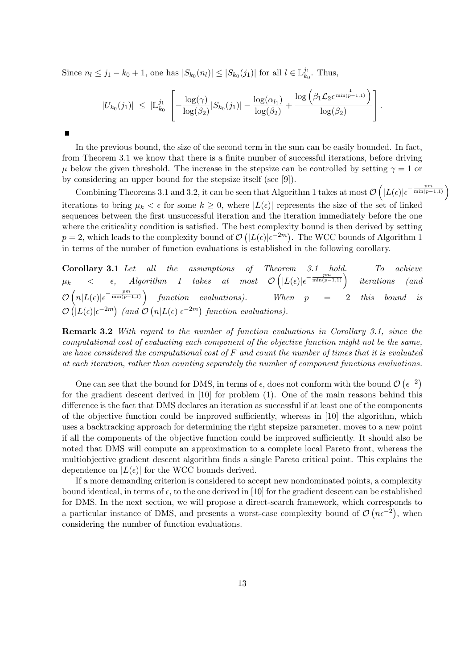Since  $n_l \leq j_1 - k_0 + 1$ , one has  $|S_{k_0}(n_l)| \leq |S_{k_0}(j_1)|$  for all  $l \in \mathbb{L}_{k_l}^{j_1}$  $\frac{j_1}{k_0}$ . Thus,

 $\blacksquare$ 

$$
|U_{k_0}(j_1)| \ \leq \ |\mathbb{L}_{k_0}^{j_1}| \left[ -\frac{\log(\gamma)}{\log(\beta_2)} |S_{k_0}(j_1)| - \frac{\log(\alpha_{l_1})}{\log(\beta_2)} + \frac{\log\left(\beta_1 \mathcal{L}_2 \epsilon^{\frac{1}{\min(p-1,1)}}\right)}{\log(\beta_2)} \right].
$$

In the previous bound, the size of the second term in the sum can be easily bounded. In fact, from Theorem 3.1 we know that there is a finite number of successful iterations, before driving  $\mu$  below the given threshold. The increase in the stepsize can be controlled by setting  $\gamma = 1$  or by considering an upper bound for the stepsize itself (see [9]).

Combining Theorems 3.1 and 3.2, it can be seen that Algorithm 1 takes at most  $\mathcal{O}\left(|L(\epsilon)|\epsilon^{-\frac{pm}{\min(p-1,1)}}\right)$ iterations to bring  $\mu_k < \epsilon$  for some  $k \geq 0$ , where  $|L(\epsilon)|$  represents the size of the set of linked sequences between the first unsuccessful iteration and the iteration immediately before the one where the criticality condition is satisfied. The best complexity bound is then derived by setting  $p = 2$ , which leads to the complexity bound of  $\mathcal{O}(|L(\epsilon)|\epsilon^{-2m})$ . The WCC bounds of Algorithm 1 in terms of the number of function evaluations is established in the following corollary.

**Corollary 3.1** Let all the assumptions of Theorem 3.1 hold. To achieve  $\mu_k$  <  $\epsilon$ , Algorithm 1 takes at most  $\mathcal{O}\left(|L(\epsilon)|\epsilon^{-\frac{pm}{\min(p-1,1)}}\right)$  iterations (and  $\mathcal{O}\left(n|L(\epsilon)|\epsilon^{-\frac{pm}{\min(p-1,1)}}\right)$  function evaluations). When  $p = 2$  this bound is  $\mathcal{O}\left(|L(\epsilon)|\epsilon^{-2m}\right)$  (and  $\mathcal{O}\left(n|L(\epsilon)|\epsilon^{-2m}\right)$  function evaluations).

Remark 3.2 With regard to the number of function evaluations in Corollary 3.1, since the computational cost of evaluating each component of the objective function might not be the same, we have considered the computational cost of  $F$  and count the number of times that it is evaluated at each iteration, rather than counting separately the number of component functions evaluations.

One can see that the bound for DMS, in terms of  $\epsilon$ , does not conform with the bound  $\mathcal{O}(\epsilon^{-2})$ for the gradient descent derived in [10] for problem (1). One of the main reasons behind this difference is the fact that DMS declares an iteration as successful if at least one of the components of the objective function could be improved sufficiently, whereas in [10] the algorithm, which uses a backtracking approach for determining the right stepsize parameter, moves to a new point if all the components of the objective function could be improved sufficiently. It should also be noted that DMS will compute an approximation to a complete local Pareto front, whereas the multiobjective gradient descent algorithm finds a single Pareto critical point. This explains the dependence on  $|L(\epsilon)|$  for the WCC bounds derived.

If a more demanding criterion is considered to accept new nondominated points, a complexity bound identical, in terms of  $\epsilon$ , to the one derived in [10] for the gradient descent can be established for DMS. In the next section, we will propose a direct-search framework, which corresponds to a particular instance of DMS, and presents a worst-case complexity bound of  $\mathcal{O}(n\epsilon^{-2})$ , when considering the number of function evaluations.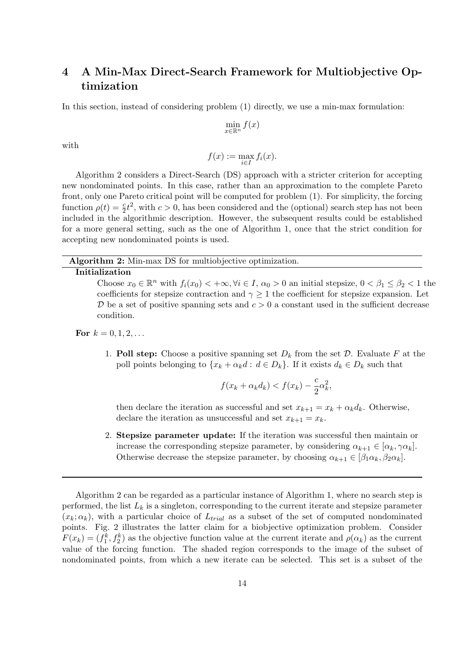## 4 A Min-Max Direct-Search Framework for Multiobjective Optimization

In this section, instead of considering problem (1) directly, we use a min-max formulation:

$$
\min_{x \in \mathbb{R}^n} f(x)
$$

with

$$
f(x) := \max_{i \in I} f_i(x).
$$

Algorithm 2 considers a Direct-Search (DS) approach with a stricter criterion for accepting new nondominated points. In this case, rather than an approximation to the complete Pareto front, only one Pareto critical point will be computed for problem (1). For simplicity, the forcing function  $\rho(t) = \frac{c}{2}t^2$ , with  $c > 0$ , has been considered and the (optional) search step has not been included in the algorithmic description. However, the subsequent results could be established for a more general setting, such as the one of Algorithm 1, once that the strict condition for accepting new nondominated points is used.

Algorithm 2: Min-max DS for multiobjective optimization.

#### Initialization

Choose  $x_0 \in \mathbb{R}^n$  with  $f_i(x_0) < +\infty, \forall i \in I, \alpha_0 > 0$  an initial stepsize,  $0 < \beta_1 \leq \beta_2 < 1$  the coefficients for stepsize contraction and  $\gamma \geq 1$  the coefficient for stepsize expansion. Let  $\mathcal D$  be a set of positive spanning sets and  $c > 0$  a constant used in the sufficient decrease condition.

For  $k = 0, 1, 2, \ldots$ 

1. Poll step: Choose a positive spanning set  $D_k$  from the set  $\mathcal D$ . Evaluate F at the poll points belonging to  $\{x_k + \alpha_k d : d \in D_k\}$ . If it exists  $d_k \in D_k$  such that

$$
f(x_k + \alpha_k d_k) < f(x_k) - \frac{c}{2} \alpha_k^2,
$$

then declare the iteration as successful and set  $x_{k+1} = x_k + \alpha_k d_k$ . Otherwise, declare the iteration as unsuccessful and set  $x_{k+1} = x_k$ .

2. Stepsize parameter update: If the iteration was successful then maintain or increase the corresponding stepsize parameter, by considering  $\alpha_{k+1} \in [\alpha_k, \gamma \alpha_k].$ Otherwise decrease the stepsize parameter, by choosing  $\alpha_{k+1} \in [\beta_1 \alpha_k, \beta_2 \alpha_k].$ 

Algorithm 2 can be regarded as a particular instance of Algorithm 1, where no search step is performed, the list  $L_k$  is a singleton, corresponding to the current iterate and stepsize parameter  $(x_k; \alpha_k)$ , with a particular choice of  $L_{trial}$  as a subset of the set of computed nondominated points. Fig. 2 illustrates the latter claim for a biobjective optimization problem. Consider  $F(x_k) = (f_1^k, f_2^k)$  as the objective function value at the current iterate and  $\rho(\alpha_k)$  as the current value of the forcing function. The shaded region corresponds to the image of the subset of nondominated points, from which a new iterate can be selected. This set is a subset of the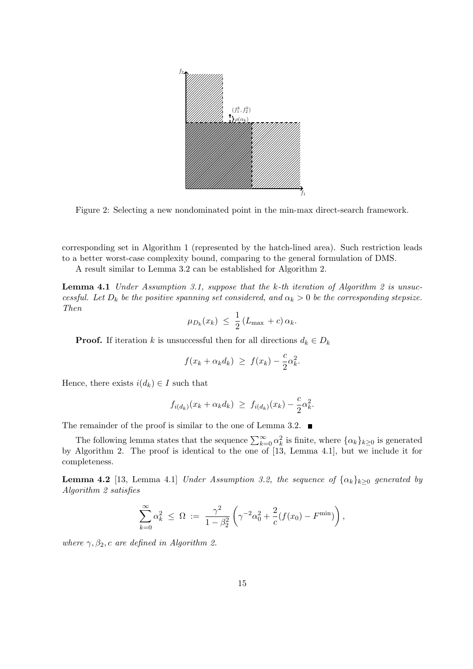

Figure 2: Selecting a new nondominated point in the min-max direct-search framework.

corresponding set in Algorithm 1 (represented by the hatch-lined area). Such restriction leads to a better worst-case complexity bound, comparing to the general formulation of DMS.

A result similar to Lemma 3.2 can be established for Algorithm 2.

**Lemma 4.1** Under Assumption 3.1, suppose that the k-th iteration of Algorithm 2 is unsuccessful. Let  $D_k$  be the positive spanning set considered, and  $\alpha_k > 0$  be the corresponding stepsize. Then

$$
\mu_{D_k}(x_k) \ \leq \ \frac{1}{2} \left( L_{\text{max}} + c \right) \alpha_k.
$$

**Proof.** If iteration k is unsuccessful then for all directions  $d_k \in D_k$ 

$$
f(x_k + \alpha_k d_k) \geq f(x_k) - \frac{c}{2} \alpha_k^2.
$$

Hence, there exists  $i(d_k) \in I$  such that

$$
f_{i(d_k)}(x_k + \alpha_k d_k) \geq f_{i(d_k)}(x_k) - \frac{c}{2}\alpha_k^2.
$$

The remainder of the proof is similar to the one of Lemma 3.2.  $\blacksquare$ 

The following lemma states that the sequence  $\sum_{k=0}^{\infty} \alpha_k^2$  is finite, where  $\{\alpha_k\}_{k\geq 0}$  is generated by Algorithm 2. The proof is identical to the one of [13, Lemma 4.1], but we include it for completeness.

**Lemma 4.2** [13, Lemma 4.1] Under Assumption 3.2, the sequence of  $\{\alpha_k\}_{k>0}$  generated by Algorithm 2 satisfies

$$
\sum_{k=0}^{\infty} \alpha_k^2 \ \leq \ \Omega \ := \ \frac{\gamma^2}{1-\beta_2^2} \left( \gamma^{-2} \alpha_0^2 + \frac{2}{c} (f(x_0) - F^{\min}) \right),
$$

where  $\gamma$ ,  $\beta_2$ , c are defined in Algorithm 2.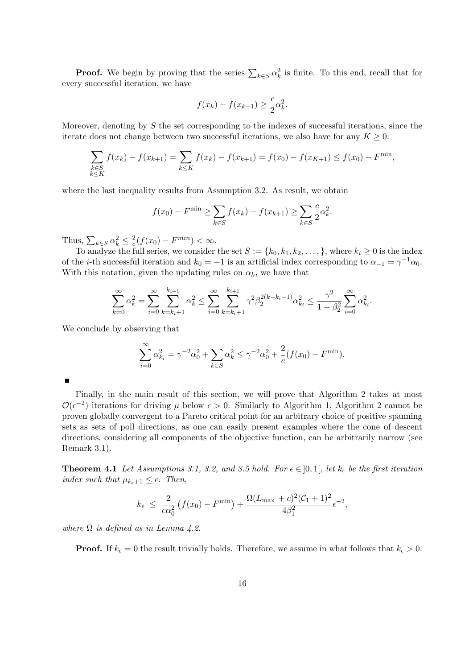**Proof.** We begin by proving that the series  $\sum_{k \in S} \alpha_k^2$  is finite. To this end, recall that for every successful iteration, we have

$$
f(x_k) - f(x_{k+1}) \ge \frac{c}{2} \alpha_k^2.
$$

Moreover, denoting by  $S$  the set corresponding to the indexes of successful iterations, since the iterate does not change between two successful iterations, we also have for any  $K \geq 0$ :

$$
\sum_{\substack{k \in S \\ k \le K}} f(x_k) - f(x_{k+1}) = \sum_{k \le K} f(x_k) - f(x_{k+1}) = f(x_0) - f(x_{K+1}) \le f(x_0) - F^{\min},
$$

where the last inequality results from Assumption 3.2. As result, we obtain

$$
f(x_0) - F^{\min} \ge \sum_{k \in S} f(x_k) - f(x_{k+1}) \ge \sum_{k \in S} \frac{c}{2} \alpha_k^2.
$$

Thus,  $\sum_{k \in S} \alpha_k^2 \leq \frac{2}{c}$  $\frac{2}{c}(f(x_0) - F^{min}) < \infty.$ 

To analyze the full series, we consider the set  $S := \{k_0, k_1, k_2, \ldots, \}$ , where  $k_i \geq 0$  is the index of the *i*-th successful iteration and  $k_0 = -1$  is an artificial index corresponding to  $\alpha_{-1} = \gamma^{-1} \alpha_0$ . With this notation, given the updating rules on  $\alpha_k$ , we have that

$$
\sum_{k=0}^{\infty} \alpha_k^2 = \sum_{i=0}^{\infty} \sum_{k=k_i+1}^{k_{i+1}} \alpha_k^2 \le \sum_{i=0}^{\infty} \sum_{k=k_i+1}^{k_{i+1}} \gamma^2 \beta_2^{2(k-k_i-1)} \alpha_{k_i}^2 \le \frac{\gamma^2}{1 - \beta_2^2} \sum_{i=0}^{\infty} \alpha_{k_i}^2.
$$

We conclude by observing that

$$
\sum_{i=0}^{\infty} \alpha_{k_i}^2 = \gamma^{-2} \alpha_0^2 + \sum_{k \in S} \alpha_k^2 \le \gamma^{-2} \alpha_0^2 + \frac{2}{c} (f(x_0) - F^{\min}).
$$

 $\blacksquare$ 

Finally, in the main result of this section, we will prove that Algorithm 2 takes at most  $\mathcal{O}(\epsilon^{-2})$  iterations for driving  $\mu$  below  $\epsilon > 0$ . Similarly to Algorithm 1, Algorithm 2 cannot be proven globally convergent to a Pareto critical point for an arbitrary choice of positive spanning sets as sets of poll directions, as one can easily present examples where the cone of descent directions, considering all components of the objective function, can be arbitrarily narrow (see Remark 3.1).

**Theorem 4.1** Let Assumptions 3.1, 3.2, and 3.5 hold. For  $\epsilon \in [0,1]$ , let  $k_{\epsilon}$  be the first iteration index such that  $\mu_{k_{\epsilon}+1} \leq \epsilon$ . Then,

$$
k_{\epsilon} \ \leq \ \frac{2}{c\alpha_0^2} \left( f(x_0) - F^{\min} \right) + \frac{\Omega (L_{\max} + c)^2 (C_1 + 1)^2}{4\beta_1^2} \epsilon^{-2},
$$

where  $\Omega$  is defined as in Lemma 4.2.

**Proof.** If  $k_{\epsilon} = 0$  the result trivially holds. Therefore, we assume in what follows that  $k_{\epsilon} > 0$ .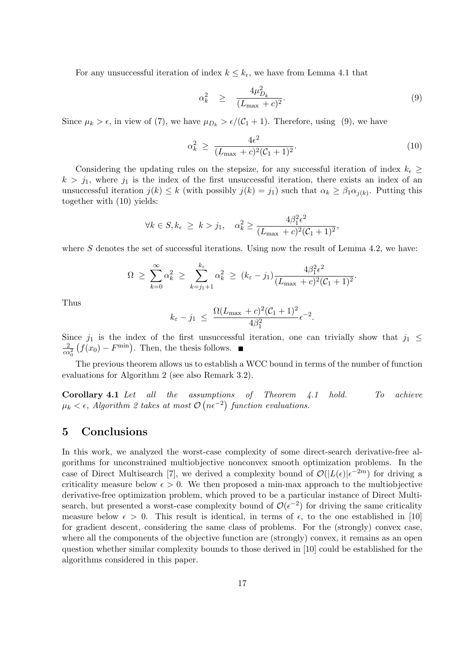For any unsuccessful iteration of index  $k \leq k_{\epsilon}$ , we have from Lemma 4.1 that

$$
\alpha_k^2 \geq \frac{4\mu_{D_k}^2}{(L_{\text{max}} + c)^2}.\tag{9}
$$

Since  $\mu_k > \epsilon$ , in view of (7), we have  $\mu_{D_k} > \epsilon/(\mathcal{C}_1 + 1)$ . Therefore, using (9), we have

$$
\alpha_k^2 \ge \frac{4\epsilon^2}{(L_{\text{max}} + c)^2 (\mathcal{C}_1 + 1)^2}.
$$
\n(10)

Considering the updating rules on the stepsize, for any successful iteration of index  $k_{\epsilon} \geq$  $k > j_1$ , where  $j_1$  is the index of the first unsuccessful iteration, there exists an index of an unsuccessful iteration  $j(k) \leq k$  (with possibly  $j(k) = j_1$ ) such that  $\alpha_k \geq \beta_1 \alpha_{j(k)}$ . Putting this together with (10) yields:

$$
\forall k \in S, k_{\epsilon} \geq k > j_1, \quad \alpha_k^2 \geq \frac{4\beta_1^2 \epsilon^2}{(L_{\text{max}} + c)^2 (C_1 + 1)^2},
$$

where S denotes the set of successful iterations. Using now the result of Lemma 4.2, we have:

$$
\Omega \geq \sum_{k=0}^{\infty} \alpha_k^2 \geq \sum_{k=j_1+1}^{k_{\varepsilon}} \alpha_k^2 \geq (k_{\varepsilon} - j_1) \frac{4\beta_1^2 \epsilon^2}{(L_{\max} + c)^2 (C_1 + 1)^2}.
$$

Thus

$$
k_{\varepsilon} - j_1 \ \leq \ \frac{\Omega(L_{\max} + c)^2 (\mathcal{C}_1 + 1)^2}{4\beta_1^2} \epsilon^{-2}.
$$

Since  $j_1$  is the index of the first unsuccessful iteration, one can trivially show that  $j_1 \leq$  $\frac{2}{c\alpha_0^2}$   $(f(x_0) - F^{\text{min}})$ . Then, the thesis follows.

The previous theorem allows us to establish a WCC bound in terms of the number of function evaluations for Algorithm 2 (see also Remark 3.2).

Corollary 4.1 Let all the assumptions of Theorem 4.1 hold. To achieve  $\mu_k < \epsilon$ , Algorithm 2 takes at most  $\mathcal{O}\left(n\epsilon^{-2}\right)$  function evaluations.

### 5 Conclusions

In this work, we analyzed the worst-case complexity of some direct-search derivative-free algorithms for unconstrained multiobjective nonconvex smooth optimization problems. In the case of Direct Multisearch [7], we derived a complexity bound of  $\mathcal{O}(|L(\epsilon)|\epsilon^{-2m})$  for driving a criticality measure below  $\epsilon > 0$ . We then proposed a min-max approach to the multiobjective derivative-free optimization problem, which proved to be a particular instance of Direct Multisearch, but presented a worst-case complexity bound of  $\mathcal{O}(\epsilon^{-2})$  for driving the same criticality measure below  $\epsilon > 0$ . This result is identical, in terms of  $\epsilon$ , to the one established in [10] for gradient descent, considering the same class of problems. For the (strongly) convex case, where all the components of the objective function are (strongly) convex, it remains as an open question whether similar complexity bounds to those derived in [10] could be established for the algorithms considered in this paper.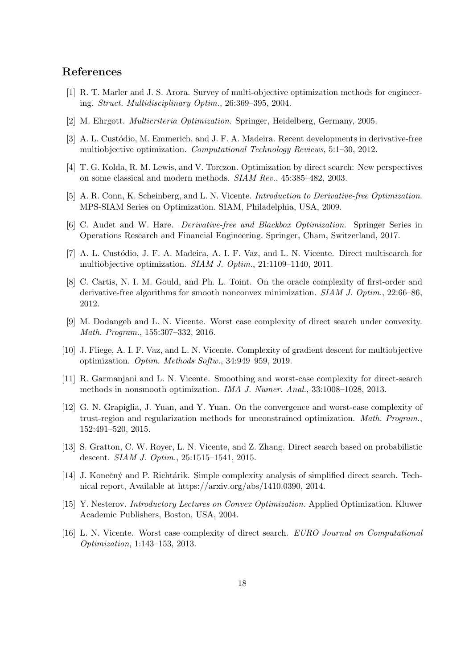### References

- [1] R. T. Marler and J. S. Arora. Survey of multi-objective optimization methods for engineering. Struct. Multidisciplinary Optim., 26:369–395, 2004.
- [2] M. Ehrgott. Multicriteria Optimization. Springer, Heidelberg, Germany, 2005.
- [3] A. L. Custódio, M. Emmerich, and J. F. A. Madeira. Recent developments in derivative-free multiobjective optimization. Computational Technology Reviews, 5:1–30, 2012.
- [4] T. G. Kolda, R. M. Lewis, and V. Torczon. Optimization by direct search: New perspectives on some classical and modern methods. SIAM Rev., 45:385–482, 2003.
- [5] A. R. Conn, K. Scheinberg, and L. N. Vicente. Introduction to Derivative-free Optimization. MPS-SIAM Series on Optimization. SIAM, Philadelphia, USA, 2009.
- [6] C. Audet and W. Hare. Derivative-free and Blackbox Optimization. Springer Series in Operations Research and Financial Engineering. Springer, Cham, Switzerland, 2017.
- [7] A. L. Custódio, J. F. A. Madeira, A. I. F. Vaz, and L. N. Vicente. Direct multisearch for multiobjective optimization. SIAM J. Optim., 21:1109–1140, 2011.
- [8] C. Cartis, N. I. M. Gould, and Ph. L. Toint. On the oracle complexity of first-order and derivative-free algorithms for smooth nonconvex minimization. *SIAM J. Optim.*, 22:66–86, 2012.
- [9] M. Dodangeh and L. N. Vicente. Worst case complexity of direct search under convexity. Math. Program., 155:307–332, 2016.
- [10] J. Fliege, A. I. F. Vaz, and L. N. Vicente. Complexity of gradient descent for multiobjective optimization. Optim. Methods Softw., 34:949–959, 2019.
- [11] R. Garmanjani and L. N. Vicente. Smoothing and worst-case complexity for direct-search methods in nonsmooth optimization. IMA J. Numer. Anal., 33:1008–1028, 2013.
- [12] G. N. Grapiglia, J. Yuan, and Y. Yuan. On the convergence and worst-case complexity of trust-region and regularization methods for unconstrained optimization. Math. Program., 152:491–520, 2015.
- [13] S. Gratton, C. W. Royer, L. N. Vicente, and Z. Zhang. Direct search based on probabilistic descent. SIAM J. Optim., 25:1515–1541, 2015.
- [14] J. Konečný and P. Richtárik. Simple complexity analysis of simplified direct search. Technical report, Available at https://arxiv.org/abs/1410.0390, 2014.
- [15] Y. Nesterov. Introductory Lectures on Convex Optimization. Applied Optimization. Kluwer Academic Publishers, Boston, USA, 2004.
- [16] L. N. Vicente. Worst case complexity of direct search. EURO Journal on Computational Optimization, 1:143–153, 2013.